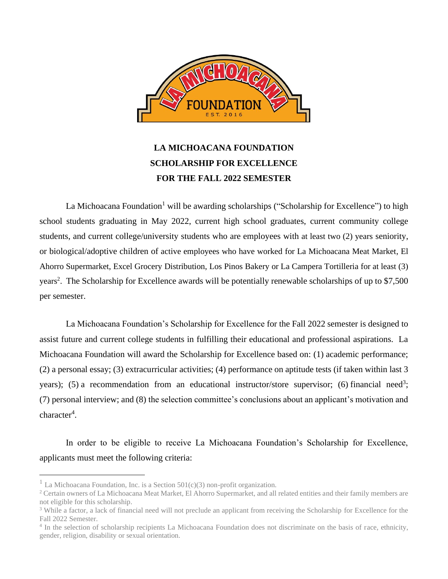

# **LA MICHOACANA FOUNDATION SCHOLARSHIP FOR EXCELLENCE FOR THE FALL 2022 SEMESTER**

La Michoacana Foundation<sup>1</sup> will be awarding scholarships ("Scholarship for Excellence") to high school students graduating in May 2022, current high school graduates, current community college students, and current college/university students who are employees with at least two (2) years seniority, or biological/adoptive children of active employees who have worked for La Michoacana Meat Market, El Ahorro Supermarket, Excel Grocery Distribution, Los Pinos Bakery or La Campera Tortilleria for at least (3) years<sup>2</sup>. The Scholarship for Excellence awards will be potentially renewable scholarships of up to \$7,500 per semester.

La Michoacana Foundation's Scholarship for Excellence for the Fall 2022 semester is designed to assist future and current college students in fulfilling their educational and professional aspirations. La Michoacana Foundation will award the Scholarship for Excellence based on: (1) academic performance; (2) a personal essay; (3) extracurricular activities; (4) performance on aptitude tests (if taken within last 3 years); (5) a recommendation from an educational instructor/store supervisor; (6) financial need<sup>3</sup>; (7) personal interview; and (8) the selection committee's conclusions about an applicant's motivation and character<sup>4</sup>.

In order to be eligible to receive La Michoacana Foundation's Scholarship for Excellence, applicants must meet the following criteria:

<sup>&</sup>lt;sup>1</sup> La Michoacana Foundation, Inc. is a Section  $501(c)(3)$  non-profit organization.

<sup>&</sup>lt;sup>2</sup> Certain owners of La Michoacana Meat Market, El Ahorro Supermarket, and all related entities and their family members are not eligible for this scholarship.

<sup>&</sup>lt;sup>3</sup> While a factor, a lack of financial need will not preclude an applicant from receiving the Scholarship for Excellence for the Fall 2022 Semester.

<sup>&</sup>lt;sup>4</sup> In the selection of scholarship recipients La Michoacana Foundation does not discriminate on the basis of race, ethnicity, gender, religion, disability or sexual orientation.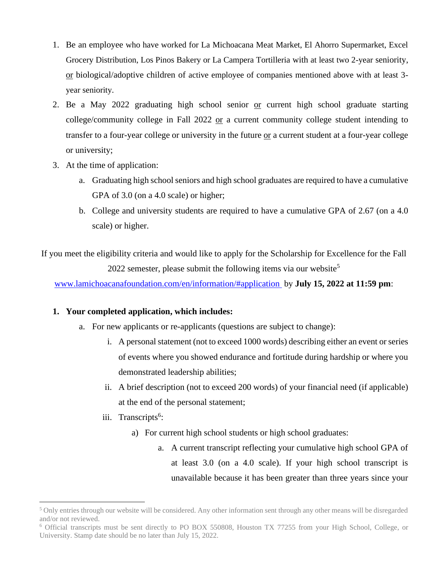- 1. Be an employee who have worked for La Michoacana Meat Market, El Ahorro Supermarket, Excel Grocery Distribution, Los Pinos Bakery or La Campera Tortilleria with at least two 2-year seniority, or biological/adoptive children of active employee of companies mentioned above with at least 3 year seniority.
- 2. Be a May 2022 graduating high school senior or current high school graduate starting college/community college in Fall 2022 or a current community college student intending to transfer to a four-year college or university in the future or a current student at a four-year college or university;
- 3. At the time of application:
	- a. Graduating high school seniors and high school graduates are required to have a cumulative GPA of 3.0 (on a 4.0 scale) or higher;
	- b. College and university students are required to have a cumulative GPA of 2.67 (on a 4.0 scale) or higher.

If you meet the eligibility criteria and would like to apply for the Scholarship for Excellence for the Fall 2022 semester, please submit the following items via our website<sup>5</sup>

[www.lamichoacanafoundation.com/en/information/#application](http://www.lamichoacanafoundation.com/en/information/#application) by **July 15, 2022 at 11:59 pm**:

### **1. Your completed application, which includes:**

- a. For new applicants or re-applicants (questions are subject to change):
	- i. A personal statement (not to exceed 1000 words) describing either an event or series of events where you showed endurance and fortitude during hardship or where you demonstrated leadership abilities;
	- ii. A brief description (not to exceed 200 words) of your financial need (if applicable) at the end of the personal statement;
	- iii. Transcripts<sup>6</sup>:
		- a) For current high school students or high school graduates:
			- a. A current transcript reflecting your cumulative high school GPA of at least 3.0 (on a 4.0 scale). If your high school transcript is unavailable because it has been greater than three years since your

<sup>&</sup>lt;sup>5</sup> Only entries through our website will be considered. Any other information sent through any other means will be disregarded and/or not reviewed.

<sup>6</sup> Official transcripts must be sent directly to PO BOX 550808, Houston TX 77255 from your High School, College, or University. Stamp date should be no later than July 15, 2022.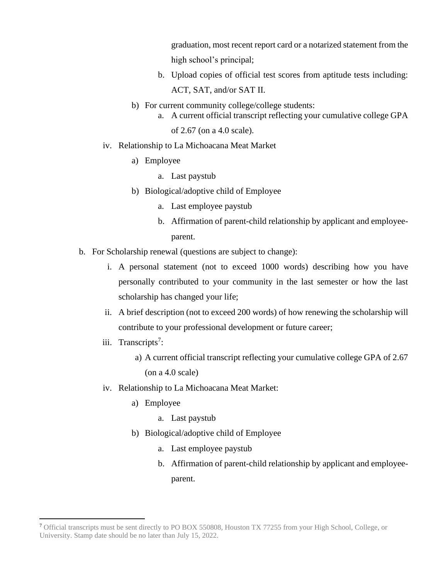graduation, most recent report card or a notarized statement from the high school's principal;

- b. Upload copies of official test scores from aptitude tests including: ACT, SAT, and/or SAT II.
- b) For current community college/college students:
	- a. A current official transcript reflecting your cumulative college GPA of 2.67 (on a 4.0 scale).
- iv. Relationship to La Michoacana Meat Market
	- a) Employee
		- a. Last paystub
	- b) Biological/adoptive child of Employee
		- a. Last employee paystub
		- b. Affirmation of parent-child relationship by applicant and employeeparent.
- b. For Scholarship renewal (questions are subject to change):
	- i. A personal statement (not to exceed 1000 words) describing how you have personally contributed to your community in the last semester or how the last scholarship has changed your life;
	- ii. A brief description (not to exceed 200 words) of how renewing the scholarship will contribute to your professional development or future career;
	- iii. Transcripts<sup>7</sup>:
		- a) A current official transcript reflecting your cumulative college GPA of 2.67  $($ on a 4.0 scale $)$
	- iv. Relationship to La Michoacana Meat Market:
		- a) Employee
			- a. Last paystub
		- b) Biological/adoptive child of Employee
			- a. Last employee paystub
			- b. Affirmation of parent-child relationship by applicant and employeeparent.

<sup>7</sup> Official transcripts must be sent directly to PO BOX 550808, Houston TX 77255 from your High School, College, or University. Stamp date should be no later than July 15, 2022.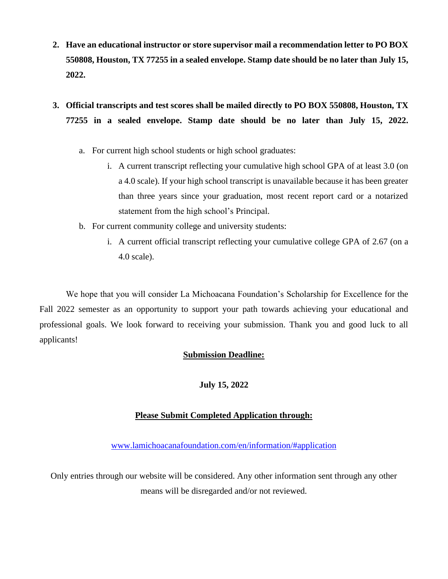- **2. Have an educational instructor or store supervisor mail a recommendation letter to PO BOX 550808, Houston, TX 77255 in a sealed envelope. Stamp date should be no later than July 15, 2022.**
- **3. Official transcripts and test scores shall be mailed directly to PO BOX 550808, Houston, TX 77255 in a sealed envelope. Stamp date should be no later than July 15, 2022.**
	- a. For current high school students or high school graduates:
		- i. A current transcript reflecting your cumulative high school GPA of at least 3.0 (on a 4.0 scale). If your high school transcript is unavailable because it has been greater than three years since your graduation, most recent report card or a notarized statement from the high school's Principal.
	- b. For current community college and university students:
		- i. A current official transcript reflecting your cumulative college GPA of 2.67 (on a 4.0 scale).

We hope that you will consider La Michoacana Foundation's Scholarship for Excellence for the Fall 2022 semester as an opportunity to support your path towards achieving your educational and professional goals. We look forward to receiving your submission. Thank you and good luck to all applicants!

### **Submission Deadline:**

# **July 15, 2022**

# **Please Submit Completed Application through:**

[www.lamichoacanafoundation.com/en/information/#application](http://www.lamichoacanafoundation.com/en/information/#application)

Only entries through our website will be considered. Any other information sent through any other means will be disregarded and/or not reviewed.